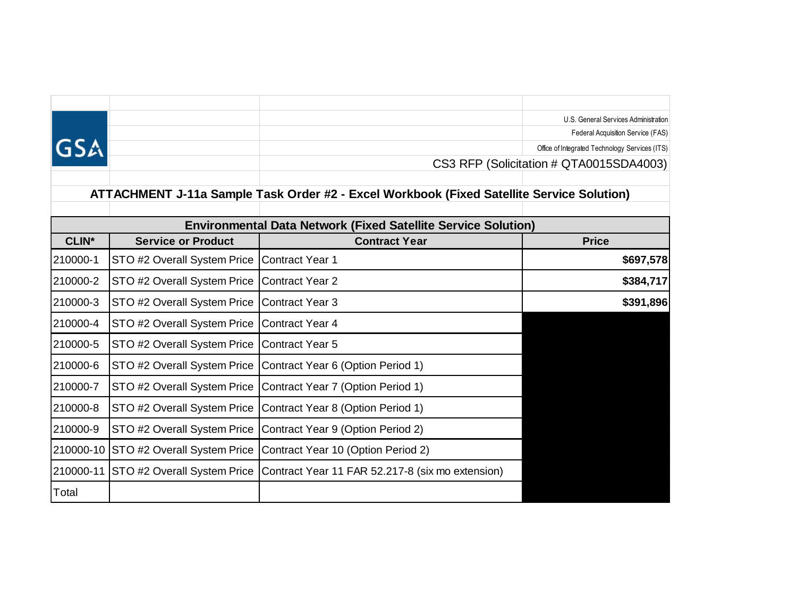|                                                                                           |                             |                                                  | U.S. General Services Administration           |  |  |  |  |  |  |  |  |
|-------------------------------------------------------------------------------------------|-----------------------------|--------------------------------------------------|------------------------------------------------|--|--|--|--|--|--|--|--|
|                                                                                           |                             |                                                  | Federal Acquisition Service (FAS)              |  |  |  |  |  |  |  |  |
|                                                                                           |                             |                                                  | Office of Integrated Technology Services (ITS) |  |  |  |  |  |  |  |  |
|                                                                                           |                             |                                                  | CS3 RFP (Solicitation # QTA0015SDA4003)        |  |  |  |  |  |  |  |  |
|                                                                                           |                             |                                                  |                                                |  |  |  |  |  |  |  |  |
| ATTACHMENT J-11a Sample Task Order #2 - Excel Workbook (Fixed Satellite Service Solution) |                             |                                                  |                                                |  |  |  |  |  |  |  |  |
| <b>Environmental Data Network (Fixed Satellite Service Solution)</b>                      |                             |                                                  |                                                |  |  |  |  |  |  |  |  |
| <b>CLIN*</b>                                                                              | <b>Service or Product</b>   | <b>Contract Year</b>                             | <b>Price</b>                                   |  |  |  |  |  |  |  |  |
| 210000-1                                                                                  | STO #2 Overall System Price | <b>Contract Year 1</b>                           | \$697,578                                      |  |  |  |  |  |  |  |  |
| 210000-2                                                                                  | STO #2 Overall System Price | <b>Contract Year 2</b>                           | \$384,717                                      |  |  |  |  |  |  |  |  |
| 210000-3                                                                                  | STO #2 Overall System Price | <b>Contract Year 3</b>                           | \$391,896                                      |  |  |  |  |  |  |  |  |
| 210000-4                                                                                  | STO #2 Overall System Price | <b>Contract Year 4</b>                           |                                                |  |  |  |  |  |  |  |  |
| 210000-5                                                                                  | STO #2 Overall System Price | <b>Contract Year 5</b>                           |                                                |  |  |  |  |  |  |  |  |
| 210000-6                                                                                  | STO #2 Overall System Price | Contract Year 6 (Option Period 1)                |                                                |  |  |  |  |  |  |  |  |
| 210000-7                                                                                  | STO #2 Overall System Price | Contract Year 7 (Option Period 1)                |                                                |  |  |  |  |  |  |  |  |
| 210000-8                                                                                  | STO #2 Overall System Price | Contract Year 8 (Option Period 1)                |                                                |  |  |  |  |  |  |  |  |
| 210000-9                                                                                  | STO #2 Overall System Price | Contract Year 9 (Option Period 2)                |                                                |  |  |  |  |  |  |  |  |
| 210000-10                                                                                 | STO #2 Overall System Price | Contract Year 10 (Option Period 2)               |                                                |  |  |  |  |  |  |  |  |
| 210000-11                                                                                 | STO #2 Overall System Price | Contract Year 11 FAR 52.217-8 (six mo extension) |                                                |  |  |  |  |  |  |  |  |
| Total                                                                                     |                             |                                                  |                                                |  |  |  |  |  |  |  |  |